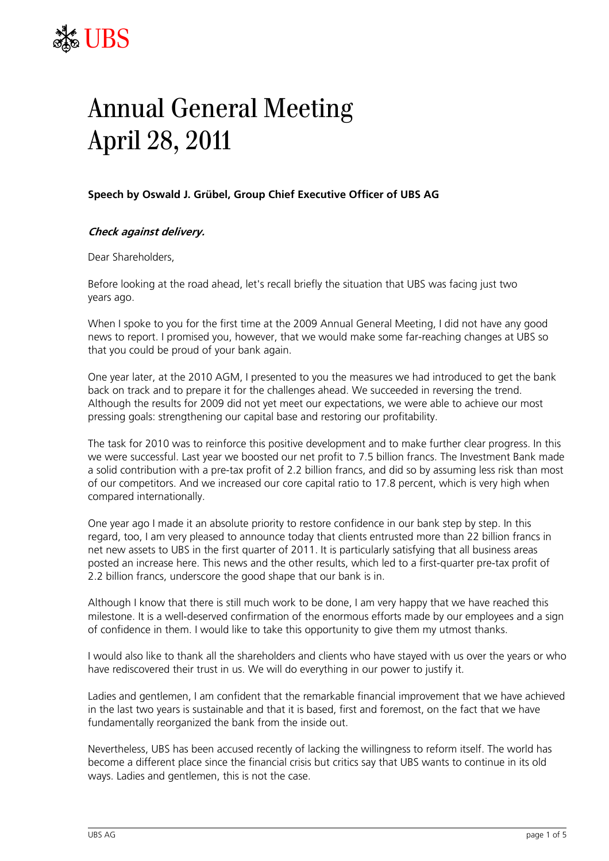## $\begin{picture}(120,140) \put(0,0){\vector(0,1){30}} \put(15,0){\vector(0,1){30}} \put(15,0){\vector(0,1){30}} \put(15,0){\vector(0,1){30}} \put(15,0){\vector(0,1){30}} \put(15,0){\vector(0,1){30}} \put(15,0){\vector(0,1){30}} \put(15,0){\vector(0,1){30}} \put(15,0){\vector(0,1){30}} \put(15,0){\vector(0,1){30}} \put(15,0){\vector(0,1){30}} \put(15,0){\vector$ UBS

## Annual General Meeting April 28, 2011

## **Speech by Oswald J. Grübel, Group Chief Executive Officer of UBS AG**

## **Check against delivery.**

Dear Shareholders,

Before looking at the road ahead, let's recall briefly the situation that UBS was facing just two years ago.

When I spoke to you for the first time at the 2009 Annual General Meeting, I did not have any good news to report. I promised you, however, that we would make some far-reaching changes at UBS so that you could be proud of your bank again.

One year later, at the 2010 AGM, I presented to you the measures we had introduced to get the bank back on track and to prepare it for the challenges ahead. We succeeded in reversing the trend. Although the results for 2009 did not yet meet our expectations, we were able to achieve our most pressing goals: strengthening our capital base and restoring our profitability.

The task for 2010 was to reinforce this positive development and to make further clear progress. In this we were successful. Last year we boosted our net profit to 7.5 billion francs. The Investment Bank made a solid contribution with a pre-tax profit of 2.2 billion francs, and did so by assuming less risk than most of our competitors. And we increased our core capital ratio to 17.8 percent, which is very high when compared internationally.

One year ago I made it an absolute priority to restore confidence in our bank step by step. In this regard, too, I am very pleased to announce today that clients entrusted more than 22 billion francs in net new assets to UBS in the first quarter of 2011. It is particularly satisfying that all business areas posted an increase here. This news and the other results, which led to a first-quarter pre-tax profit of 2.2 billion francs, underscore the good shape that our bank is in.

Although I know that there is still much work to be done, I am very happy that we have reached this milestone. It is a well-deserved confirmation of the enormous efforts made by our employees and a sign of confidence in them. I would like to take this opportunity to give them my utmost thanks.

I would also like to thank all the shareholders and clients who have stayed with us over the years or who have rediscovered their trust in us. We will do everything in our power to justify it.

Ladies and gentlemen, I am confident that the remarkable financial improvement that we have achieved in the last two years is sustainable and that it is based, first and foremost, on the fact that we have fundamentally reorganized the bank from the inside out.

Nevertheless, UBS has been accused recently of lacking the willingness to reform itself. The world has become a different place since the financial crisis but critics say that UBS wants to continue in its old ways. Ladies and gentlemen, this is not the case.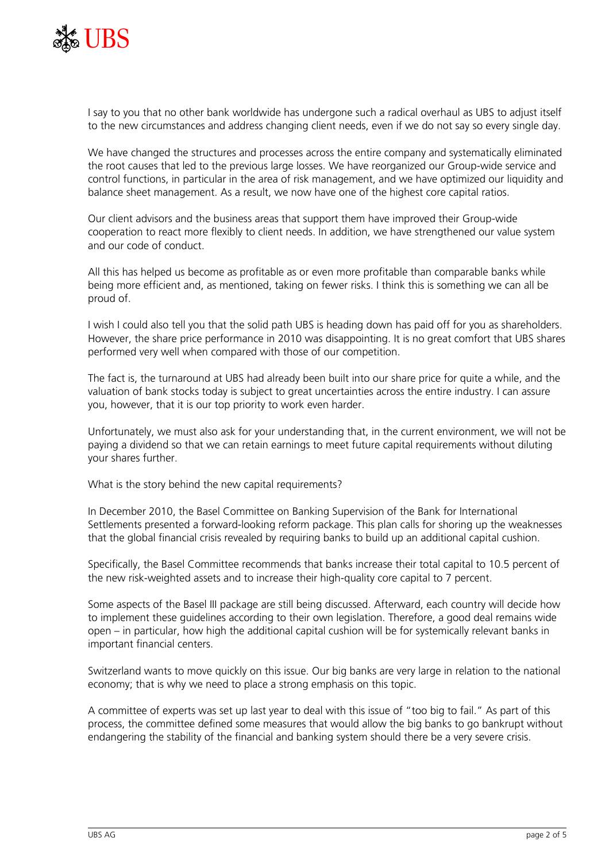

I say to you that no other bank worldwide has undergone such a radical overhaul as UBS to adjust itself to the new circumstances and address changing client needs, even if we do not say so every single day.

We have changed the structures and processes across the entire company and systematically eliminated the root causes that led to the previous large losses. We have reorganized our Group-wide service and control functions, in particular in the area of risk management, and we have optimized our liquidity and balance sheet management. As a result, we now have one of the highest core capital ratios.

Our client advisors and the business areas that support them have improved their Group-wide cooperation to react more flexibly to client needs. In addition, we have strengthened our value system and our code of conduct.

All this has helped us become as profitable as or even more profitable than comparable banks while being more efficient and, as mentioned, taking on fewer risks. I think this is something we can all be proud of.

I wish I could also tell you that the solid path UBS is heading down has paid off for you as shareholders. However, the share price performance in 2010 was disappointing. It is no great comfort that UBS shares performed very well when compared with those of our competition.

The fact is, the turnaround at UBS had already been built into our share price for quite a while, and the valuation of bank stocks today is subject to great uncertainties across the entire industry. I can assure you, however, that it is our top priority to work even harder.

Unfortunately, we must also ask for your understanding that, in the current environment, we will not be paying a dividend so that we can retain earnings to meet future capital requirements without diluting your shares further.

What is the story behind the new capital requirements?

In December 2010, the Basel Committee on Banking Supervision of the Bank for International Settlements presented a forward-looking reform package. This plan calls for shoring up the weaknesses that the global financial crisis revealed by requiring banks to build up an additional capital cushion.

Specifically, the Basel Committee recommends that banks increase their total capital to 10.5 percent of the new risk-weighted assets and to increase their high-quality core capital to 7 percent.

Some aspects of the Basel III package are still being discussed. Afterward, each country will decide how to implement these guidelines according to their own legislation. Therefore, a good deal remains wide open – in particular, how high the additional capital cushion will be for systemically relevant banks in important financial centers.

Switzerland wants to move quickly on this issue. Our big banks are very large in relation to the national economy; that is why we need to place a strong emphasis on this topic.

A committee of experts was set up last year to deal with this issue of "too big to fail." As part of this process, the committee defined some measures that would allow the big banks to go bankrupt without endangering the stability of the financial and banking system should there be a very severe crisis.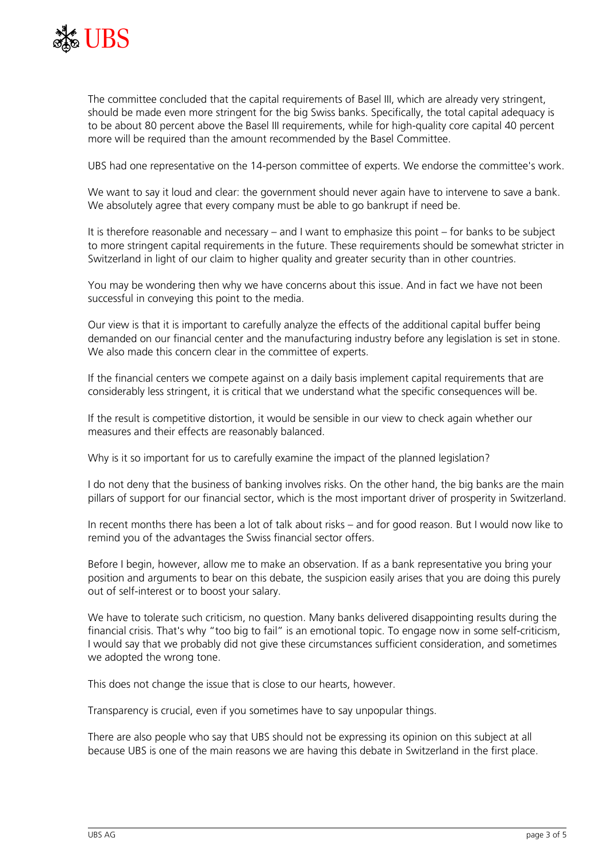

The committee concluded that the capital requirements of Basel III, which are already very stringent, should be made even more stringent for the big Swiss banks. Specifically, the total capital adequacy is to be about 80 percent above the Basel III requirements, while for high-quality core capital 40 percent more will be required than the amount recommended by the Basel Committee.

UBS had one representative on the 14-person committee of experts. We endorse the committee's work.

We want to say it loud and clear: the government should never again have to intervene to save a bank. We absolutely agree that every company must be able to go bankrupt if need be.

It is therefore reasonable and necessary – and I want to emphasize this point – for banks to be subject to more stringent capital requirements in the future. These requirements should be somewhat stricter in Switzerland in light of our claim to higher quality and greater security than in other countries.

You may be wondering then why we have concerns about this issue. And in fact we have not been successful in conveying this point to the media.

Our view is that it is important to carefully analyze the effects of the additional capital buffer being demanded on our financial center and the manufacturing industry before any legislation is set in stone. We also made this concern clear in the committee of experts.

If the financial centers we compete against on a daily basis implement capital requirements that are considerably less stringent, it is critical that we understand what the specific consequences will be.

If the result is competitive distortion, it would be sensible in our view to check again whether our measures and their effects are reasonably balanced.

Why is it so important for us to carefully examine the impact of the planned legislation?

I do not deny that the business of banking involves risks. On the other hand, the big banks are the main pillars of support for our financial sector, which is the most important driver of prosperity in Switzerland.

In recent months there has been a lot of talk about risks – and for good reason. But I would now like to remind you of the advantages the Swiss financial sector offers.

Before I begin, however, allow me to make an observation. If as a bank representative you bring your position and arguments to bear on this debate, the suspicion easily arises that you are doing this purely out of self-interest or to boost your salary.

We have to tolerate such criticism, no question. Many banks delivered disappointing results during the financial crisis. That's why "too big to fail" is an emotional topic. To engage now in some self-criticism, I would say that we probably did not give these circumstances sufficient consideration, and sometimes we adopted the wrong tone.

This does not change the issue that is close to our hearts, however.

Transparency is crucial, even if you sometimes have to say unpopular things.

There are also people who say that UBS should not be expressing its opinion on this subject at all because UBS is one of the main reasons we are having this debate in Switzerland in the first place.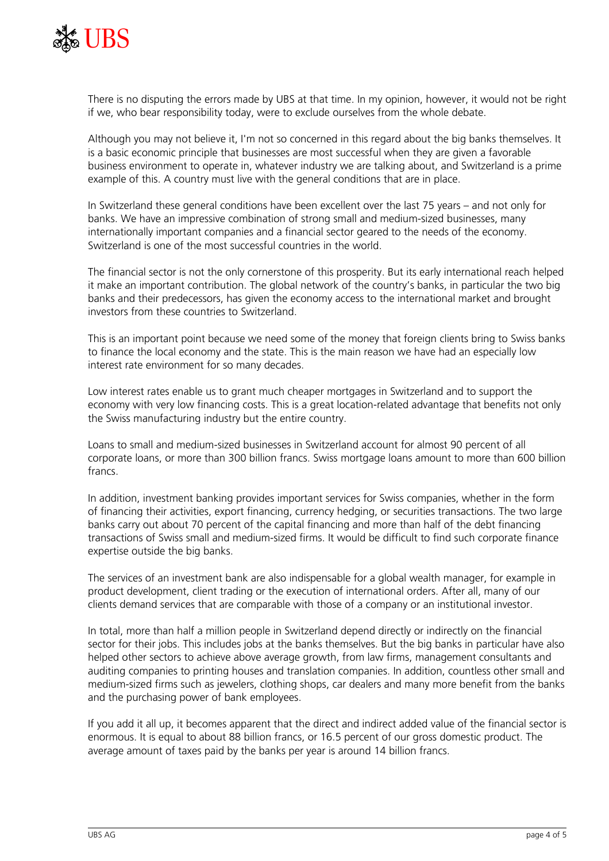

There is no disputing the errors made by UBS at that time. In my opinion, however, it would not be right if we, who bear responsibility today, were to exclude ourselves from the whole debate.

Although you may not believe it, I'm not so concerned in this regard about the big banks themselves. It is a basic economic principle that businesses are most successful when they are given a favorable business environment to operate in, whatever industry we are talking about, and Switzerland is a prime example of this. A country must live with the general conditions that are in place.

In Switzerland these general conditions have been excellent over the last 75 years – and not only for banks. We have an impressive combination of strong small and medium-sized businesses, many internationally important companies and a financial sector geared to the needs of the economy. Switzerland is one of the most successful countries in the world.

The financial sector is not the only cornerstone of this prosperity. But its early international reach helped it make an important contribution. The global network of the country's banks, in particular the two big banks and their predecessors, has given the economy access to the international market and brought investors from these countries to Switzerland.

This is an important point because we need some of the money that foreign clients bring to Swiss banks to finance the local economy and the state. This is the main reason we have had an especially low interest rate environment for so many decades.

Low interest rates enable us to grant much cheaper mortgages in Switzerland and to support the economy with very low financing costs. This is a great location-related advantage that benefits not only the Swiss manufacturing industry but the entire country.

Loans to small and medium-sized businesses in Switzerland account for almost 90 percent of all corporate loans, or more than 300 billion francs. Swiss mortgage loans amount to more than 600 billion francs.

In addition, investment banking provides important services for Swiss companies, whether in the form of financing their activities, export financing, currency hedging, or securities transactions. The two large banks carry out about 70 percent of the capital financing and more than half of the debt financing transactions of Swiss small and medium-sized firms. It would be difficult to find such corporate finance expertise outside the big banks.

The services of an investment bank are also indispensable for a global wealth manager, for example in product development, client trading or the execution of international orders. After all, many of our clients demand services that are comparable with those of a company or an institutional investor.

In total, more than half a million people in Switzerland depend directly or indirectly on the financial sector for their jobs. This includes jobs at the banks themselves. But the big banks in particular have also helped other sectors to achieve above average growth, from law firms, management consultants and auditing companies to printing houses and translation companies. In addition, countless other small and medium-sized firms such as jewelers, clothing shops, car dealers and many more benefit from the banks and the purchasing power of bank employees.

If you add it all up, it becomes apparent that the direct and indirect added value of the financial sector is enormous. It is equal to about 88 billion francs, or 16.5 percent of our gross domestic product. The average amount of taxes paid by the banks per year is around 14 billion francs.